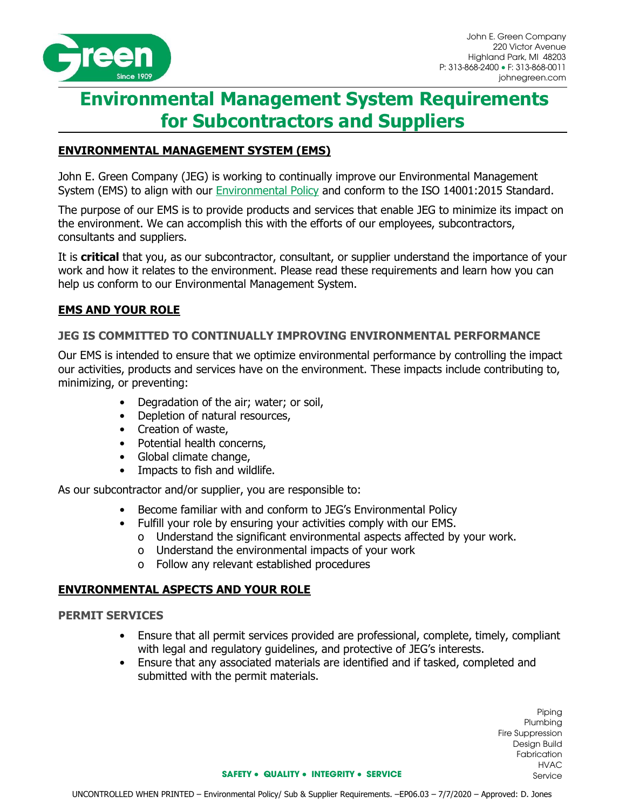

# **Environmental Management System Requirements for Subcontractors and Suppliers**

# **ENVIRONMENTAL MANAGEMENT SYSTEM (EMS)**

John E. Green Company (JEG) is working to continually improve our Environmental Management System (EMS) to align with our [Environmental](http://www.johnegreen.com/policies/) Policy and conform to the ISO 14001:2015 Standard.

The purpose of our EMS is to provide products and services that enable JEG to minimize its impact on the environment. We can accomplish this with the efforts of our employees, subcontractors, consultants and suppliers.

It is **critical** that you, as our subcontractor, consultant, or supplier understand the importance of your work and how it relates to the environment. Please read these requirements and learn how you can help us conform to our Environmental Management System.

# **EMS AND YOUR ROLE**

# **JEG IS COMMITTED TO CONTINUALLY IMPROVING ENVIRONMENTAL PERFORMANCE**

Our EMS is intended to ensure that we optimize environmental performance by controlling the impact our activities, products and services have on the environment. These impacts include contributing to, minimizing, or preventing:

- Degradation of the air; water; or soil,
- Depletion of natural resources,
- Creation of waste,
- Potential health concerns,
- Global climate change,
- Impacts to fish and wildlife.

As our subcontractor and/or supplier, you are responsible to:

- Become familiar with and conform to JEG's Environmental Policy
- Fulfill your role by ensuring your activities comply with our EMS.
	- o Understand the significant environmental aspects affected by your work.
	- o Understand the environmental impacts of your work
	- o Follow any relevant established procedures

# **ENVIRONMENTAL ASPECTS AND YOUR ROLE**

# **PERMIT SERVICES**

- Ensure that all permit services provided are professional, complete, timely, compliant with legal and regulatory guidelines, and protective of JEG's interests.
- Ensure that any associated materials are identified and if tasked, completed and submitted with the permit materials.

Piping Plumbing Fire Suppression Design Build Fabrication HVAC Service

#### **SAFETY** • **QUALITY** • **INTEGRITY** • **SERVICE**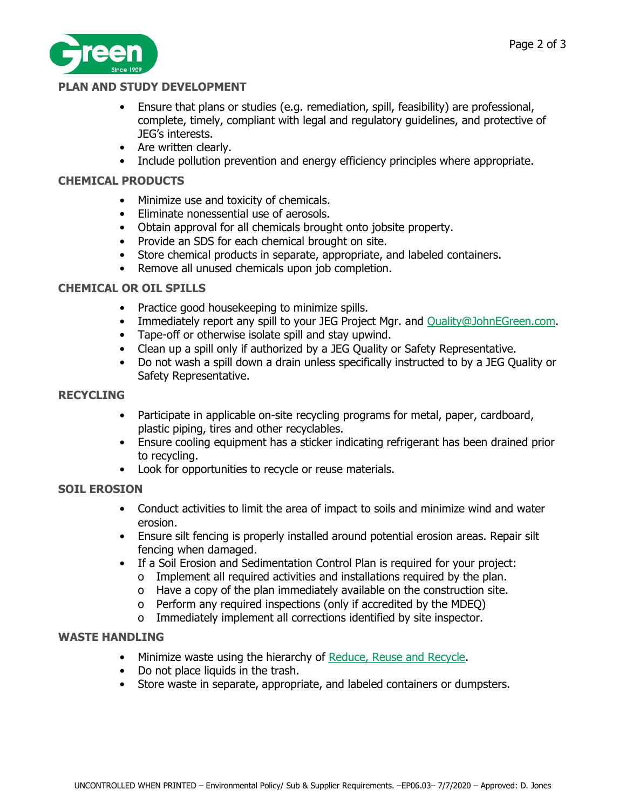



# **PLAN AND STUDY DEVELOPMENT**

- Ensure that plans or studies (e.g. remediation, spill, feasibility) are professional, complete, timely, compliant with legal and regulatory guidelines, and protective of JEG's interests.
- Are written clearly.
- Include pollution prevention and energy efficiency principles where appropriate.

# **CHEMICAL PRODUCTS**

- Minimize use and toxicity of chemicals.
- Eliminate nonessential use of aerosols.
- Obtain approval for all chemicals brought onto jobsite property.
- Provide an SDS for each chemical brought on site.
- Store chemical products in separate, appropriate, and labeled containers.
- Remove all unused chemicals upon job completion.

# **CHEMICAL OR OIL SPILLS**

- Practice good housekeeping to minimize spills.
- Immediately report any spill to your JEG Project Mgr. and [Quality@JohnEGreen.com.](mailto:Quality@JohnEGreen.com)
- Tape-off or otherwise isolate spill and stay upwind.
- Clean up a spill only if authorized by a JEG Quality or Safety Representative.
- Do not wash a spill down a drain unless specifically instructed to by a JEG Quality or Safety Representative.

# **RECYCLING**

- Participate in applicable on-site recycling programs for metal, paper, cardboard, plastic piping, tires and other recyclables.
- Ensure cooling equipment has a sticker indicating refrigerant has been drained prior to recycling.
- Look for opportunities to recycle or reuse materials.

# **SOIL EROSION**

- Conduct activities to limit the area of impact to soils and minimize wind and water erosion.
- Ensure silt fencing is properly installed around potential erosion areas. Repair silt fencing when damaged.
- If a Soil Erosion and Sedimentation Control Plan is required for your project:
	- o Implement all required activities and installations required by the plan.
	- o Have a copy of the plan immediately available on the construction site.
	- o Perform any required inspections (only if accredited by the MDEQ)
	- o Immediately implement all corrections identified by site inspector.

# **WASTE HANDLING**

- Minimize waste using the hierarchy of [Reduce, Reuse and Recycle.](https://www.epa.nsw.gov.au/your-environment/recycling-and-reuse/warr-strategy/the-waste-hierarchy)
- Do not place liquids in the trash.
- Store waste in separate, appropriate, and labeled containers or dumpsters.